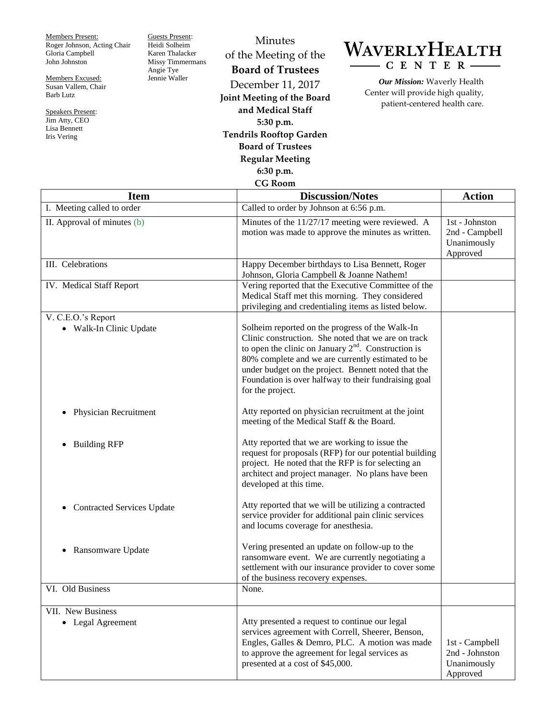Members Present: Roger Johnson, Acting Chair Gloria Campbell John Johnston

Members Excused: Susan Vallem, Chair Barb Lutz

Speakers Present: Jim Atty, CEO Lisa Bennett Iris Vering

Guests Present: Heidi Solheim Karen Thalacker Missy Timmermans Angie Tye Jennie Waller

## Minutes of the Meeting of the **Board of Trustees** December 11, 2017 **Joint Meeting of the Board and Medical Staff 5:30 p.m.**

**Tendrils Rooftop Garden Board of Trustees**

## **Regular Meeting**

**6:30 p.m.**

## **CG Room**

## WAVERLYHEALTH  $-C E N T E R$

*Our Mission:* Waverly Health Center will provide high quality, patient-centered health care.

| <b>Item</b>                                   | <b>Discussion/Notes</b>                                                                                                                                                                                                                                                                                                                                 | <b>Action</b>                                               |
|-----------------------------------------------|---------------------------------------------------------------------------------------------------------------------------------------------------------------------------------------------------------------------------------------------------------------------------------------------------------------------------------------------------------|-------------------------------------------------------------|
| I. Meeting called to order                    | Called to order by Johnson at 6:56 p.m.                                                                                                                                                                                                                                                                                                                 |                                                             |
| II. Approval of minutes $(b)$                 | Minutes of the 11/27/17 meeting were reviewed. A<br>motion was made to approve the minutes as written.                                                                                                                                                                                                                                                  | 1st - Johnston<br>2nd - Campbell<br>Unanimously<br>Approved |
| III. Celebrations                             | Happy December birthdays to Lisa Bennett, Roger<br>Johnson, Gloria Campbell & Joanne Nathem!                                                                                                                                                                                                                                                            |                                                             |
| IV. Medical Staff Report                      | Vering reported that the Executive Committee of the<br>Medical Staff met this morning. They considered<br>privileging and credentialing items as listed below.                                                                                                                                                                                          |                                                             |
| V. C.E.O.'s Report<br>• Walk-In Clinic Update | Solheim reported on the progress of the Walk-In<br>Clinic construction. She noted that we are on track<br>to open the clinic on January $2nd$ . Construction is<br>80% complete and we are currently estimated to be<br>under budget on the project. Bennett noted that the<br>Foundation is over halfway to their fundraising goal<br>for the project. |                                                             |
| <b>Physician Recruitment</b>                  | Atty reported on physician recruitment at the joint<br>meeting of the Medical Staff & the Board.                                                                                                                                                                                                                                                        |                                                             |
| <b>Building RFP</b><br>$\bullet$              | Atty reported that we are working to issue the<br>request for proposals (RFP) for our potential building<br>project. He noted that the RFP is for selecting an<br>architect and project manager. No plans have been<br>developed at this time.                                                                                                          |                                                             |
| <b>Contracted Services Update</b>             | Atty reported that we will be utilizing a contracted<br>service provider for additional pain clinic services<br>and locums coverage for anesthesia.                                                                                                                                                                                                     |                                                             |
| Ransomware Update<br>$\bullet$                | Vering presented an update on follow-up to the<br>ransomware event. We are currently negotiating a<br>settlement with our insurance provider to cover some<br>of the business recovery expenses.                                                                                                                                                        |                                                             |
| VI. Old Business                              | None.                                                                                                                                                                                                                                                                                                                                                   |                                                             |
| VII. New Business<br>• Legal Agreement        | Atty presented a request to continue our legal<br>services agreement with Correll, Sheerer, Benson,<br>Engles, Galles & Demro, PLC. A motion was made<br>to approve the agreement for legal services as<br>presented at a cost of \$45,000.                                                                                                             | 1st - Campbell<br>2nd - Johnston<br>Unanimously<br>Approved |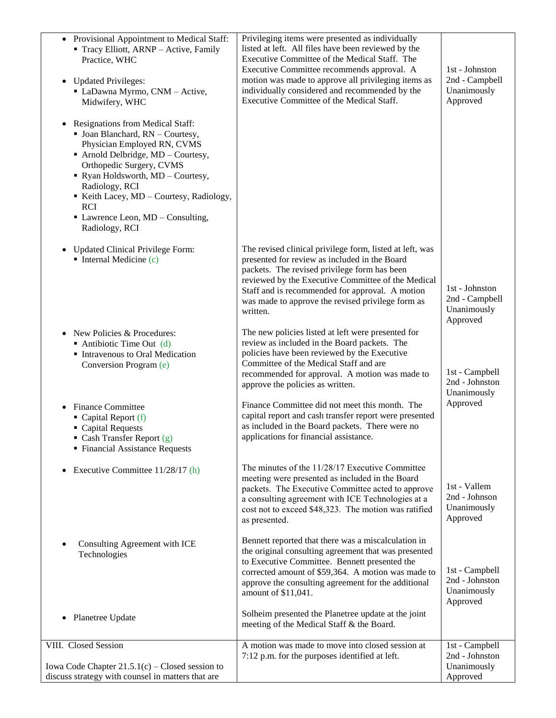| • Provisional Appointment to Medical Staff:<br>Tracy Elliott, ARNP - Active, Family<br>Practice, WHC<br>• Updated Privileges:<br>• LaDawna Myrmo, CNM - Active,<br>Midwifery, WHC<br><b>Resignations from Medical Staff:</b><br>$\bullet$<br>$\blacksquare$ Joan Blanchard, RN - Courtesy,<br>Physician Employed RN, CVMS | Privileging items were presented as individually<br>listed at left. All files have been reviewed by the<br>Executive Committee of the Medical Staff. The<br>Executive Committee recommends approval. A<br>motion was made to approve all privileging items as<br>individually considered and recommended by the<br>Executive Committee of the Medical Staff. | 1st - Johnston<br>2nd - Campbell<br>Unanimously<br>Approved |
|---------------------------------------------------------------------------------------------------------------------------------------------------------------------------------------------------------------------------------------------------------------------------------------------------------------------------|--------------------------------------------------------------------------------------------------------------------------------------------------------------------------------------------------------------------------------------------------------------------------------------------------------------------------------------------------------------|-------------------------------------------------------------|
| • Arnold Delbridge, MD - Courtesy,<br>Orthopedic Surgery, CVMS<br>• Ryan Holdsworth, MD - Courtesy,<br>Radiology, RCI<br>Keith Lacey, MD - Courtesy, Radiology,<br><b>RCI</b><br>• Lawrence Leon, MD - Consulting,<br>Radiology, RCI                                                                                      |                                                                                                                                                                                                                                                                                                                                                              |                                                             |
| <b>Updated Clinical Privilege Form:</b><br>$\bullet$<br>$\blacksquare$ Internal Medicine (c)                                                                                                                                                                                                                              | The revised clinical privilege form, listed at left, was<br>presented for review as included in the Board<br>packets. The revised privilege form has been<br>reviewed by the Executive Committee of the Medical<br>Staff and is recommended for approval. A motion<br>was made to approve the revised privilege form as<br>written.                          | 1st - Johnston<br>2nd - Campbell<br>Unanimously<br>Approved |
| New Policies & Procedures:<br>Antibiotic Time Out $(d)$<br>Intravenous to Oral Medication<br>Conversion Program (e)                                                                                                                                                                                                       | The new policies listed at left were presented for<br>review as included in the Board packets. The<br>policies have been reviewed by the Executive<br>Committee of the Medical Staff and are<br>recommended for approval. A motion was made to<br>approve the policies as written.                                                                           | 1st - Campbell<br>2nd - Johnston<br>Unanimously             |
| <b>Finance Committee</b><br>$\bullet$<br>Capital Report (f)<br>Capital Requests<br>• Cash Transfer Report $(g)$<br>• Financial Assistance Requests                                                                                                                                                                        | Finance Committee did not meet this month. The<br>capital report and cash transfer report were presented<br>as included in the Board packets. There were no<br>applications for financial assistance.                                                                                                                                                        | Approved                                                    |
| Executive Committee 11/28/17 (h)<br>$\bullet$                                                                                                                                                                                                                                                                             | The minutes of the 11/28/17 Executive Committee<br>meeting were presented as included in the Board<br>packets. The Executive Committee acted to approve<br>a consulting agreement with ICE Technologies at a<br>cost not to exceed \$48,323. The motion was ratified<br>as presented.                                                                        | 1st - Vallem<br>2nd - Johnson<br>Unanimously<br>Approved    |
| Consulting Agreement with ICE<br>Technologies                                                                                                                                                                                                                                                                             | Bennett reported that there was a miscalculation in<br>the original consulting agreement that was presented<br>to Executive Committee. Bennett presented the<br>corrected amount of \$59,364. A motion was made to<br>approve the consulting agreement for the additional<br>amount of \$11,041.                                                             | 1st - Campbell<br>2nd - Johnston<br>Unanimously<br>Approved |
| • Planetree Update                                                                                                                                                                                                                                                                                                        | Solheim presented the Planetree update at the joint<br>meeting of the Medical Staff & the Board.                                                                                                                                                                                                                                                             |                                                             |
| VIII. Closed Session<br>Iowa Code Chapter $21.5.1(c)$ – Closed session to<br>discuss strategy with counsel in matters that are                                                                                                                                                                                            | A motion was made to move into closed session at<br>7:12 p.m. for the purposes identified at left.                                                                                                                                                                                                                                                           | 1st - Campbell<br>2nd - Johnston<br>Unanimously<br>Approved |